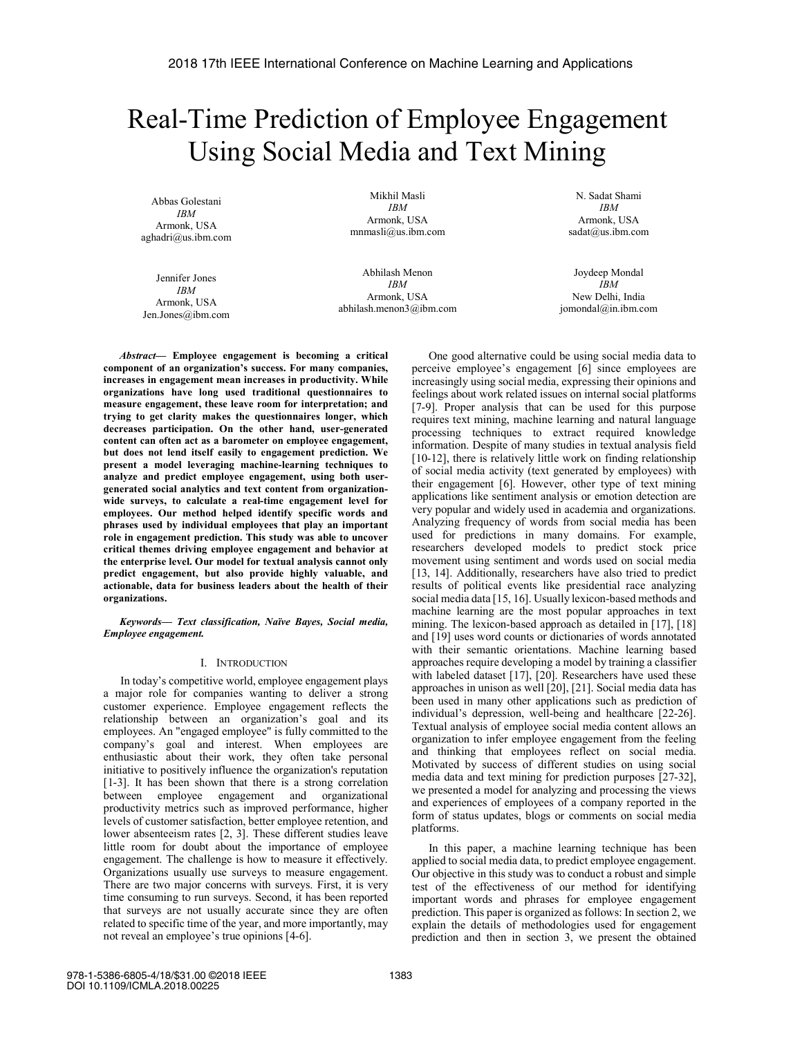# Real-Time Prediction of Employee Engagement Using Social Media and Text Mining

Abbas Golestani *IBM*  Armonk, USA aghadri@us.ibm.com

Mikhil Masli *IBM*  Armonk, USA mnmasli@us.ibm.com

Jennifer Jones *IBM*  Armonk, USA Jen.Jones@ibm.com

Abhilash Menon *IBM*  Armonk, USA abhilash.menon3@ibm.com

N. Sadat Shami *IBM*  Armonk, USA sadat@us.ibm.com

Joydeep Mondal *IBM*  New Delhi, India jomondal@in.ibm.com

*Abstract*— Employee engagement is becoming a critical component of an organization's success. For many companies, increases in engagement mean increases in productivity. While organizations have long used traditional questionnaires to measure engagement, these leave room for interpretation; and trying to get clarity makes the questionnaires longer, which decreases participation. On the other hand, user-generated content can often act as a barometer on employee engagement, but does not lend itself easily to engagement prediction. We present a model leveraging machine-learning techniques to analyze and predict employee engagement, using both usergenerated social analytics and text content from organizationwide surveys, to calculate a real-time engagement level for employees. Our method helped identify specific words and phrases used by individual employees that play an important role in engagement prediction. This study was able to uncover critical themes driving employee engagement and behavior at the enterprise level. Our model for textual analysis cannot only predict engagement, but also provide highly valuable, and actionable, data for business leaders about the health of their organizations.

*Keywords— Text classification, Naïve Bayes, Social media, Employee engagement.* 

## I. INTRODUCTION

In today's competitive world, employee engagement plays a major role for companies wanting to deliver a strong customer experience. Employee engagement reflects the relationship between an organization's goal and its employees. An "engaged employee" is fully committed to the company's goal and interest. When employees are enthusiastic about their work, they often take personal initiative to positively influence the organization's reputation [1-3]. It has been shown that there is a strong correlation between employee engagement and organizational productivity metrics such as improved performance, higher levels of customer satisfaction, better employee retention, and lower absenteeism rates [2, 3]. These different studies leave little room for doubt about the importance of employee engagement. The challenge is how to measure it effectively. Organizations usually use surveys to measure engagement. There are two major concerns with surveys. First, it is very time consuming to run surveys. Second, it has been reported that surveys are not usually accurate since they are often related to specific time of the year, and more importantly, may not reveal an employee's true opinions [4-6].

One good alternative could be using social media data to perceive employee's engagement [6] since employees are increasingly using social media, expressing their opinions and feelings about work related issues on internal social platforms [7-9]. Proper analysis that can be used for this purpose requires text mining, machine learning and natural language processing techniques to extract required knowledge information. Despite of many studies in textual analysis field [10-12], there is relatively little work on finding relationship of social media activity (text generated by employees) with their engagement [6]. However, other type of text mining applications like sentiment analysis or emotion detection are very popular and widely used in academia and organizations. Analyzing frequency of words from social media has been used for predictions in many domains. For example, researchers developed models to predict stock price movement using sentiment and words used on social media [13, 14]. Additionally, researchers have also tried to predict results of political events like presidential race analyzing social media data [15, 16]. Usually lexicon-based methods and machine learning are the most popular approaches in text mining. The lexicon-based approach as detailed in [17], [18] and [19] uses word counts or dictionaries of words annotated with their semantic orientations. Machine learning based approaches require developing a model by training a classifier with labeled dataset [17], [20]. Researchers have used these approaches in unison as well [20], [21]. Social media data has been used in many other applications such as prediction of individual's depression, well-being and healthcare [22-26]. Textual analysis of employee social media content allows an organization to infer employee engagement from the feeling and thinking that employees reflect on social media. Motivated by success of different studies on using social media data and text mining for prediction purposes [27-32], we presented a model for analyzing and processing the views and experiences of employees of a company reported in the form of status updates, blogs or comments on social media platforms.

In this paper, a machine learning technique has been applied to social media data, to predict employee engagement. Our objective in this study was to conduct a robust and simple test of the effectiveness of our method for identifying important words and phrases for employee engagement prediction. This paper is organized as follows: In section 2, we explain the details of methodologies used for engagement prediction and then in section 3, we present the obtained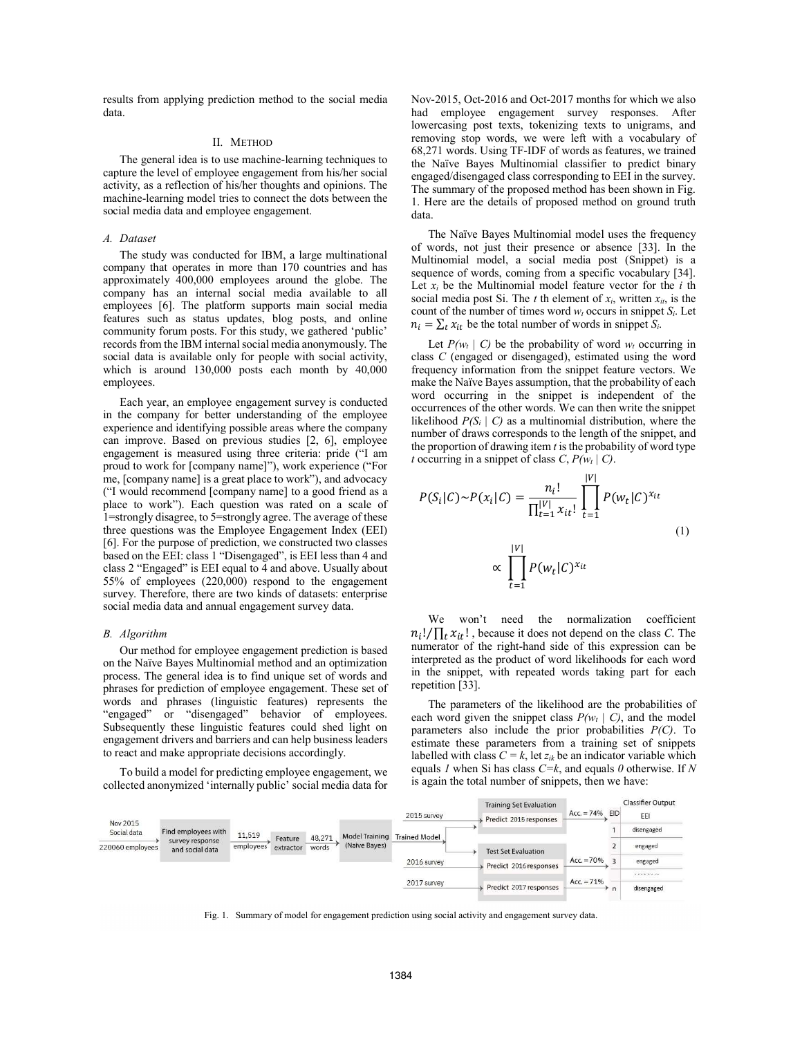results from applying prediction method to the social media data.

# II. METHOD

The general idea is to use machine-learning techniques to capture the level of employee engagement from his/her social activity, as a reflection of his/her thoughts and opinions. The machine-learning model tries to connect the dots between the social media data and employee engagement.

# *A. Dataset*

The study was conducted for IBM, a large multinational company that operates in more than 170 countries and has approximately 400,000 employees around the globe. The company has an internal social media available to all employees [6]. The platform supports main social media features such as status updates, blog posts, and online community forum posts. For this study, we gathered 'public' records from the IBM internal social media anonymously. The social data is available only for people with social activity, which is around 130,000 posts each month by 40,000 employees.

Each year, an employee engagement survey is conducted in the company for better understanding of the employee experience and identifying possible areas where the company can improve. Based on previous studies [2, 6], employee engagement is measured using three criteria: pride ("I am proud to work for [company name]"), work experience ("For me, [company name] is a great place to work"), and advocacy ("I would recommend [company name] to a good friend as a place to work"). Each question was rated on a scale of 1=strongly disagree, to 5=strongly agree. The average of these three questions was the Employee Engagement Index (EEI) [6]. For the purpose of prediction, we constructed two classes based on the EEI: class 1 "Disengaged", is EEI less than 4 and class 2 "Engaged" is EEI equal to 4 and above. Usually about 55% of employees (220,000) respond to the engagement survey. Therefore, there are two kinds of datasets: enterprise social media data and annual engagement survey data.

#### *B. Algorithm*

Our method for employee engagement prediction is based on the Naïve Bayes Multinomial method and an optimization process. The general idea is to find unique set of words and phrases for prediction of employee engagement. These set of words and phrases (linguistic features) represents the "engaged" or "disengaged" behavior of employees. Subsequently these linguistic features could shed light on engagement drivers and barriers and can help business leaders to react and make appropriate decisions accordingly.

To build a model for predicting employee engagement, we collected anonymized 'internally public' social media data for Nov-2015, Oct-2016 and Oct-2017 months for which we also had employee engagement survey responses. After lowercasing post texts, tokenizing texts to unigrams, and removing stop words, we were left with a vocabulary of 68,271 words. Using TF-IDF of words as features, we trained the Naïve Bayes Multinomial classifier to predict binary engaged/disengaged class corresponding to EEI in the survey. The summary of the proposed method has been shown in Fig. 1. Here are the details of proposed method on ground truth data.

The Naïve Bayes Multinomial model uses the frequency of words, not just their presence or absence [33]. In the Multinomial model, a social media post (Snippet) is a sequence of words, coming from a specific vocabulary [34]. Let  $x_i$  be the Multinomial model feature vector for the  $i$  th social media post Si. The  $t$  th element of  $x_i$ , written  $x_{it}$ , is the count of the number of times word  $w_t$  occurs in snippet  $S_i$ . Let  $n_i = \sum_t x_{it}$  be the total number of words in snippet  $S_i$ .

Let  $P(w_t | C)$  be the probability of word  $w_t$  occurring in class *C* (engaged or disengaged), estimated using the word frequency information from the snippet feature vectors. We make the Naïve Bayes assumption, that the probability of each word occurring in the snippet is independent of the occurrences of the other words. We can then write the snippet likelihood  $P(S_i \mid C)$  as a multinomial distribution, where the number of draws corresponds to the length of the snippet, and the proportion of drawing item *t* is the probability of word type *t* occurring in a snippet of class  $C$ ,  $P(w_t | C)$ .

$$
P(S_i|C) \sim P(x_i|C) = \frac{n_i!}{\prod_{t=1}^{|V|} x_{it}!} \prod_{t=1}^{|V|} P(w_t|C)^{x_{it}}
$$
  

$$
\propto \prod_{t=1}^{|V|} P(w_t|C)^{x_{it}}
$$
 (1)

We won't need the normalization coefficient  $n_i! / \prod_t x_{it}!$ , because it does not depend on the class *C*. The numerator of the right-hand side of this expression can be interpreted as the product of word likelihoods for each word in the snippet, with repeated words taking part for each repetition [33].

The parameters of the likelihood are the probabilities of each word given the snippet class  $P(w_t | C)$ , and the model parameters also include the prior probabilities *P(C)*. To estimate these parameters from a training set of snippets labelled with class  $C = k$ , let  $z_{ik}$  be an indicator variable which equals *1* when Si has class *C=k*, and equals *0* otherwise. If *N* is again the total number of snippets, then we have:

|                  |                                    |           |                      |                 |                       |                      | <b>Training Set Evaluation</b> |                  |                         | Classifier Output |
|------------------|------------------------------------|-----------|----------------------|-----------------|-----------------------|----------------------|--------------------------------|------------------|-------------------------|-------------------|
| Nov 2015         |                                    |           |                      |                 |                       | 2015 survey          | Predict 2015 responses         | $Acc = 74\%$ EID |                         | EEI               |
| Social data      | Find employees with                | 11,519    |                      |                 | <b>Model Training</b> | <b>Trained Model</b> |                                |                  |                         | disengaged        |
| 220060 employees | survey response<br>and social data | employees | Feature<br>extractor | 48,271<br>words | (Naive Bayes)         |                      | <b>Test Set Evaluation</b>     |                  |                         | engaged           |
|                  |                                    |           |                      |                 |                       | 2016 survey          | Predict 2016 responses         | $Acc. = 70%$     | $\overline{\mathbf{z}}$ | engaged           |
|                  |                                    |           |                      |                 |                       |                      |                                | $Acc. = 71%$     |                         | .                 |
|                  |                                    |           |                      |                 |                       | 2017 survey          | Predict 2017 responses         |                  | n                       | disengaged        |

Fig. 1. Summary of model for engagement prediction using social activity and engagement survey data.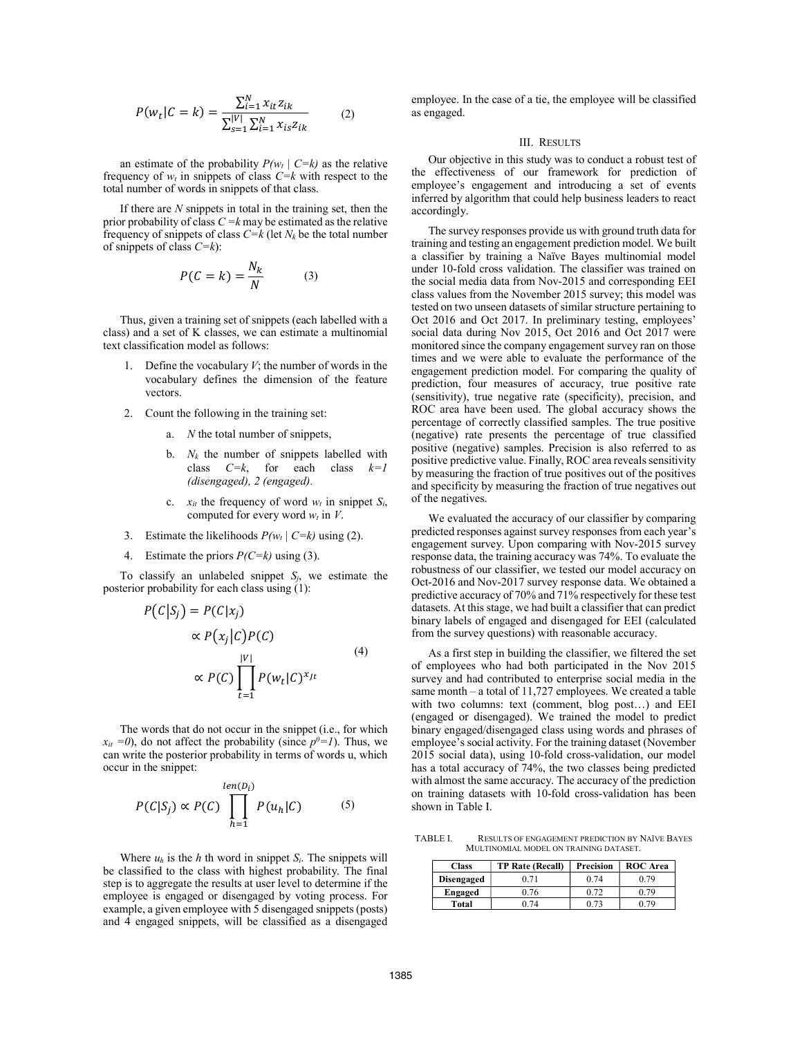$$
P(w_t|C = k) = \frac{\sum_{i=1}^{N} x_{it} z_{ik}}{\sum_{s=1}^{|V|} \sum_{i=1}^{N} x_{is} z_{ik}}
$$
(2)

an estimate of the probability  $P(w_t | C=k)$  as the relative frequency of  $w_t$  in snippets of class  $C=k$  with respect to the total number of words in snippets of that class.

If there are *N* snippets in total in the training set, then the prior probability of class  $C = k$  may be estimated as the relative frequency of snippets of class *C=k* (let *Nk* be the total number of snippets of class *C=k*):

$$
P(C = k) = \frac{N_k}{N}
$$
 (3)

Thus, given a training set of snippets (each labelled with a class) and a set of K classes, we can estimate a multinomial text classification model as follows:

- Define the vocabulary  $V$ ; the number of words in the vocabulary defines the dimension of the feature vectors.
- 2. Count the following in the training set:
	- a. *N* the total number of snippets,
	- b. *Nk* the number of snippets labelled with class *C=k*, for each class *k=1 (disengaged), 2 (engaged).*
	- c.  $x_{it}$  the frequency of word  $w_t$  in snippet  $S_i$ , computed for every word  $w_t$  in *V*.
- 3. Estimate the likelihoods  $P(w_t | C=k)$  using (2).
- 4. Estimate the priors *P(C=k)* using (3).

To classify an unlabeled snippet  $S_i$ , we estimate the posterior probability for each class using (1):

$$
P(C|S_j) = P(C|x_j)
$$
  
\n
$$
\propto P(x_j|C)P(C)
$$
  
\n
$$
\propto P(C) \prod_{t=1}^{|V|} P(w_t|C)^{x_{jt}}
$$
\n(4)

The words that do not occur in the snippet (i.e., for which  $x_{it} = 0$ , do not affect the probability (since  $p^0 = 1$ ). Thus, we can write the posterior probability in terms of words u, which occur in the snippet:

$$
P(C|S_j) \propto P(C) \prod_{h=1}^{len(D_i)} P(u_h|C) \tag{5}
$$

Where  $u_h$  is the  $h$  th word in snippet  $S_i$ . The snippets will be classified to the class with highest probability. The final step is to aggregate the results at user level to determine if the employee is engaged or disengaged by voting process. For example, a given employee with 5 disengaged snippets (posts) and 4 engaged snippets, will be classified as a disengaged

employee. In the case of a tie, the employee will be classified as engaged.

## III. RESULTS

Our objective in this study was to conduct a robust test of the effectiveness of our framework for prediction of employee's engagement and introducing a set of events inferred by algorithm that could help business leaders to react accordingly.

The survey responses provide us with ground truth data for training and testing an engagement prediction model. We built a classifier by training a Naïve Bayes multinomial model under 10-fold cross validation. The classifier was trained on the social media data from Nov-2015 and corresponding EEI class values from the November 2015 survey; this model was tested on two unseen datasets of similar structure pertaining to Oct 2016 and Oct 2017. In preliminary testing, employees' social data during Nov 2015, Oct 2016 and Oct 2017 were monitored since the company engagement survey ran on those times and we were able to evaluate the performance of the engagement prediction model. For comparing the quality of prediction, four measures of accuracy, true positive rate (sensitivity), true negative rate (specificity), precision, and ROC area have been used. The global accuracy shows the percentage of correctly classified samples. The true positive (negative) rate presents the percentage of true classified positive (negative) samples. Precision is also referred to as positive predictive value. Finally, ROC area reveals sensitivity by measuring the fraction of true positives out of the positives and specificity by measuring the fraction of true negatives out of the negatives.

We evaluated the accuracy of our classifier by comparing predicted responses against survey responses from each year's engagement survey. Upon comparing with Nov-2015 survey response data, the training accuracy was 74%. To evaluate the robustness of our classifier, we tested our model accuracy on Oct-2016 and Nov-2017 survey response data. We obtained a predictive accuracy of 70% and 71% respectively for these test datasets. At this stage, we had built a classifier that can predict binary labels of engaged and disengaged for EEI (calculated from the survey questions) with reasonable accuracy.

As a first step in building the classifier, we filtered the set of employees who had both participated in the Nov 2015 survey and had contributed to enterprise social media in the same month – a total of 11,727 employees. We created a table with two columns: text (comment, blog post…) and EEI (engaged or disengaged). We trained the model to predict binary engaged/disengaged class using words and phrases of employee's social activity. For the training dataset (November 2015 social data), using 10-fold cross-validation, our model has a total accuracy of 74%, the two classes being predicted with almost the same accuracy. The accuracy of the prediction on training datasets with 10-fold cross-validation has been shown in Table I.

TABLE I. RESULTS OF ENGAGEMENT PREDICTION BY NAÏVE BAYES MULTINOMIAL MODEL ON TRAINING DATASET.

| <b>Class</b>      | <b>TP Rate (Recall)</b> | Precision<br><b>ROC</b> Area |      |
|-------------------|-------------------------|------------------------------|------|
| <b>Disengaged</b> | 0.71                    | 0.74                         | 0.79 |
| Engaged           | 0.76                    | 0.72                         | በ 79 |
| Total             |                         |                              |      |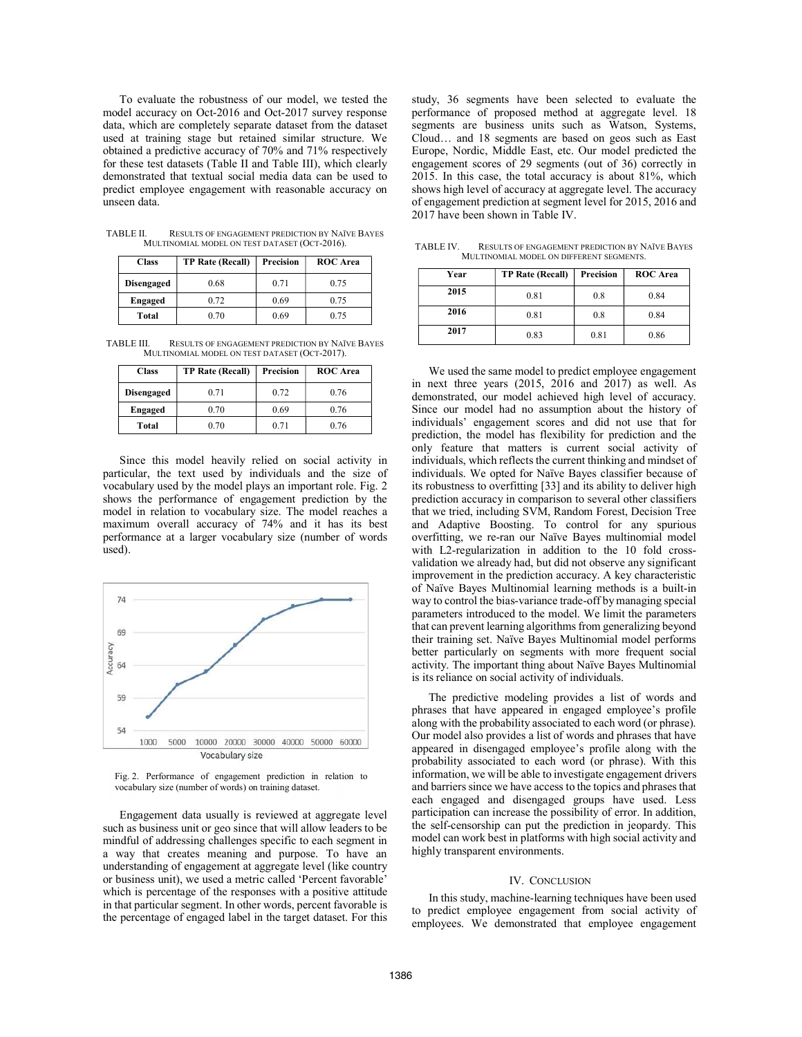To evaluate the robustness of our model, we tested the model accuracy on Oct-2016 and Oct-2017 survey response data, which are completely separate dataset from the dataset used at training stage but retained similar structure. We obtained a predictive accuracy of 70% and 71% respectively for these test datasets (Table II and Table III), which clearly demonstrated that textual social media data can be used to predict employee engagement with reasonable accuracy on unseen data.

| <b>Class</b>      | <b>TP Rate (Recall)</b> | Precision | <b>ROC</b> Area |  |  |
|-------------------|-------------------------|-----------|-----------------|--|--|
| <b>Disengaged</b> | 0.68                    | 0.71      | 0.75            |  |  |
| <b>Engaged</b>    | 0.72                    | 0.69      | 0.75            |  |  |
| Total             | 0.70                    | 0.69      | 0.75            |  |  |

TABLE II. RESULTS OF ENGAGEMENT PREDICTION BY NAÏVE BAYES MULTINOMIAL MODEL ON TEST DATASET (OCT-2016).

TABLE III. RESULTS OF ENGAGEMENT PREDICTION BY NAÏVE BAYES MULTINOMIAL MODEL ON TEST DATASET (OCT-2017).

| <b>Class</b>      | <b>TP Rate (Recall)</b> | Precision | <b>ROC</b> Area |  |  |
|-------------------|-------------------------|-----------|-----------------|--|--|
| <b>Disengaged</b> | 0.71                    | 0.72      | 0.76            |  |  |
| <b>Engaged</b>    | 0.70                    | 0.69      | 0.76            |  |  |
| Total             | 0.70                    | 0.71      | 0.76            |  |  |

Since this model heavily relied on social activity in particular, the text used by individuals and the size of vocabulary used by the model plays an important role. Fig. 2 shows the performance of engagement prediction by the model in relation to vocabulary size. The model reaches a maximum overall accuracy of 74% and it has its best performance at a larger vocabulary size (number of words used).



Fig. 2. Performance of engagement prediction in relation to vocabulary size (number of words) on training dataset.

Engagement data usually is reviewed at aggregate level such as business unit or geo since that will allow leaders to be mindful of addressing challenges specific to each segment in a way that creates meaning and purpose. To have an understanding of engagement at aggregate level (like country or business unit), we used a metric called 'Percent favorable' which is percentage of the responses with a positive attitude in that particular segment. In other words, percent favorable is the percentage of engaged label in the target dataset. For this study, 36 segments have been selected to evaluate the performance of proposed method at aggregate level. 18 segments are business units such as Watson, Systems, Cloud… and 18 segments are based on geos such as East Europe, Nordic, Middle East, etc. Our model predicted the engagement scores of 29 segments (out of 36) correctly in 2015. In this case, the total accuracy is about 81%, which shows high level of accuracy at aggregate level. The accuracy of engagement prediction at segment level for 2015, 2016 and 2017 have been shown in Table IV.

TABLE IV. RESULTS OF ENGAGEMENT PREDICTION BY NAÏVE BAYES MULTINOMIAL MODEL ON DIFFERENT SEGMENTS.

| Year | <b>TP Rate (Recall)</b> | Precision | <b>ROC</b> Area |
|------|-------------------------|-----------|-----------------|
| 2015 | 0.81                    | 0.8       | 0.84            |
| 2016 | 0.81                    | 0.8       | 0.84            |
| 2017 | 0.83                    | 0.81      | 0.86            |

We used the same model to predict employee engagement in next three years (2015, 2016 and 2017) as well. As demonstrated, our model achieved high level of accuracy. Since our model had no assumption about the history of individuals' engagement scores and did not use that for prediction, the model has flexibility for prediction and the only feature that matters is current social activity of individuals, which reflects the current thinking and mindset of individuals. We opted for Naïve Bayes classifier because of its robustness to overfitting [33] and its ability to deliver high prediction accuracy in comparison to several other classifiers that we tried, including SVM, Random Forest, Decision Tree and Adaptive Boosting. To control for any spurious overfitting, we re-ran our Naïve Bayes multinomial model with L2-regularization in addition to the 10 fold crossvalidation we already had, but did not observe any significant improvement in the prediction accuracy. A key characteristic of Naïve Bayes Multinomial learning methods is a built-in way to control the bias-variance trade-off by managing special parameters introduced to the model. We limit the parameters that can prevent learning algorithms from generalizing beyond their training set. Naïve Bayes Multinomial model performs better particularly on segments with more frequent social activity. The important thing about Naïve Bayes Multinomial is its reliance on social activity of individuals.

The predictive modeling provides a list of words and phrases that have appeared in engaged employee's profile along with the probability associated to each word (or phrase). Our model also provides a list of words and phrases that have appeared in disengaged employee's profile along with the probability associated to each word (or phrase). With this information, we will be able to investigate engagement drivers and barriers since we have access to the topics and phrases that each engaged and disengaged groups have used. Less participation can increase the possibility of error. In addition, the self-censorship can put the prediction in jeopardy. This model can work best in platforms with high social activity and highly transparent environments.

### IV. CONCLUSION

In this study, machine-learning techniques have been used to predict employee engagement from social activity of employees. We demonstrated that employee engagement